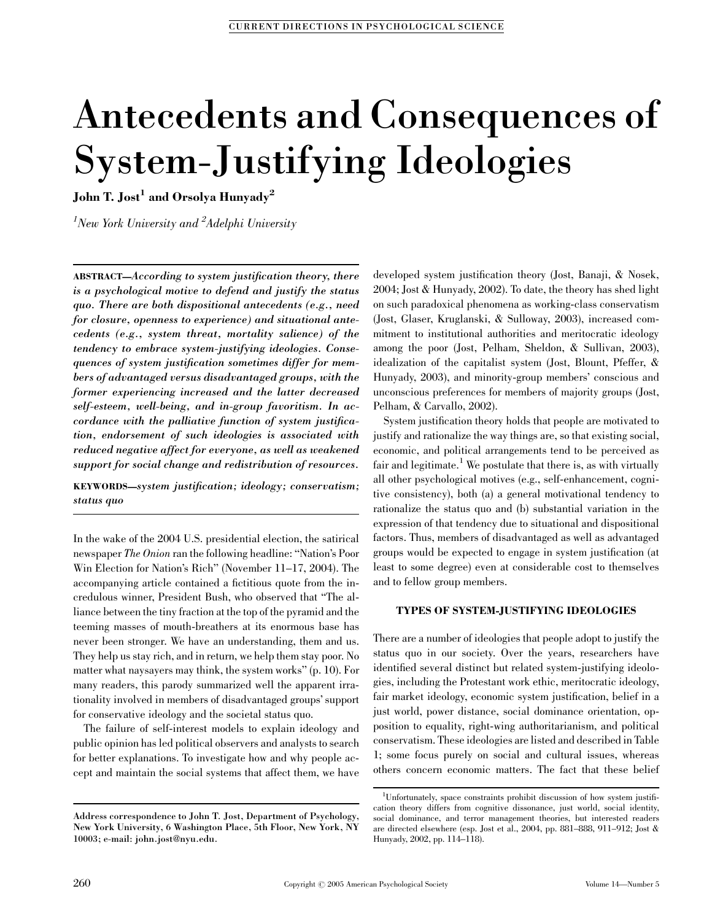# Antecedents and Consequences of System-Justifying Ideologies

John T. Jost<sup>1</sup> and Orsolya Hunyady<sup>2</sup>

 $^l$ New York University and  $^2$ Adelphi University

ABSTRACT—According to system justification theory, there is a psychological motive to defend and justify the status quo. There are both dispositional antecedents (e.g., need for closure, openness to experience) and situational antecedents (e.g., system threat, mortality salience) of the tendency to embrace system-justifying ideologies. Consequences of system justification sometimes differ for members of advantaged versus disadvantaged groups, with the former experiencing increased and the latter decreased self-esteem, well-being, and in-group favoritism. In accordance with the palliative function of system justification, endorsement of such ideologies is associated with reduced negative affect for everyone, as well as weakened support for social change and redistribution of resources.

KEYWORDS—system justification; ideology; conservatism; status quo

In the wake of the 2004 U.S. presidential election, the satirical newspaper The Onion ran the following headline: ''Nation's Poor Win Election for Nation's Rich'' (November 11–17, 2004). The accompanying article contained a fictitious quote from the incredulous winner, President Bush, who observed that ''The alliance between the tiny fraction at the top of the pyramid and the teeming masses of mouth-breathers at its enormous base has never been stronger. We have an understanding, them and us. They help us stay rich, and in return, we help them stay poor. No matter what naysayers may think, the system works'' (p. 10). For many readers, this parody summarized well the apparent irrationality involved in members of disadvantaged groups' support for conservative ideology and the societal status quo.

The failure of self-interest models to explain ideology and public opinion has led political observers and analysts to search for better explanations. To investigate how and why people accept and maintain the social systems that affect them, we have developed system justification theory (Jost, Banaji, & Nosek, 2004; Jost & Hunyady, 2002). To date, the theory has shed light on such paradoxical phenomena as working-class conservatism (Jost, Glaser, Kruglanski, & Sulloway, 2003), increased commitment to institutional authorities and meritocratic ideology among the poor (Jost, Pelham, Sheldon, & Sullivan, 2003), idealization of the capitalist system (Jost, Blount, Pfeffer, & Hunyady, 2003), and minority-group members' conscious and unconscious preferences for members of majority groups (Jost, Pelham, & Carvallo, 2002).

System justification theory holds that people are motivated to justify and rationalize the way things are, so that existing social, economic, and political arrangements tend to be perceived as fair and legitimate.<sup>1</sup> We postulate that there is, as with virtually all other psychological motives (e.g., self-enhancement, cognitive consistency), both (a) a general motivational tendency to rationalize the status quo and (b) substantial variation in the expression of that tendency due to situational and dispositional factors. Thus, members of disadvantaged as well as advantaged groups would be expected to engage in system justification (at least to some degree) even at considerable cost to themselves and to fellow group members.

## TYPES OF SYSTEM-JUSTIFYING IDEOLOGIES

There are a number of ideologies that people adopt to justify the status quo in our society. Over the years, researchers have identified several distinct but related system-justifying ideologies, including the Protestant work ethic, meritocratic ideology, fair market ideology, economic system justification, belief in a just world, power distance, social dominance orientation, opposition to equality, right-wing authoritarianism, and political conservatism. These ideologies are listed and described in Table 1; some focus purely on social and cultural issues, whereas others concern economic matters. The fact that these belief

Address correspondence to John T. Jost, Department of Psychology, New York University, 6 Washington Place, 5th Floor, New York, NY 10003; e-mail: john.jost@nyu.edu.

<sup>&</sup>lt;sup>1</sup>Unfortunately, space constraints prohibit discussion of how system justification theory differs from cognitive dissonance, just world, social identity, social dominance, and terror management theories, but interested readers are directed elsewhere (esp. Jost et al., 2004, pp. 881–888, 911–912; Jost & Hunyady, 2002, pp. 114–118).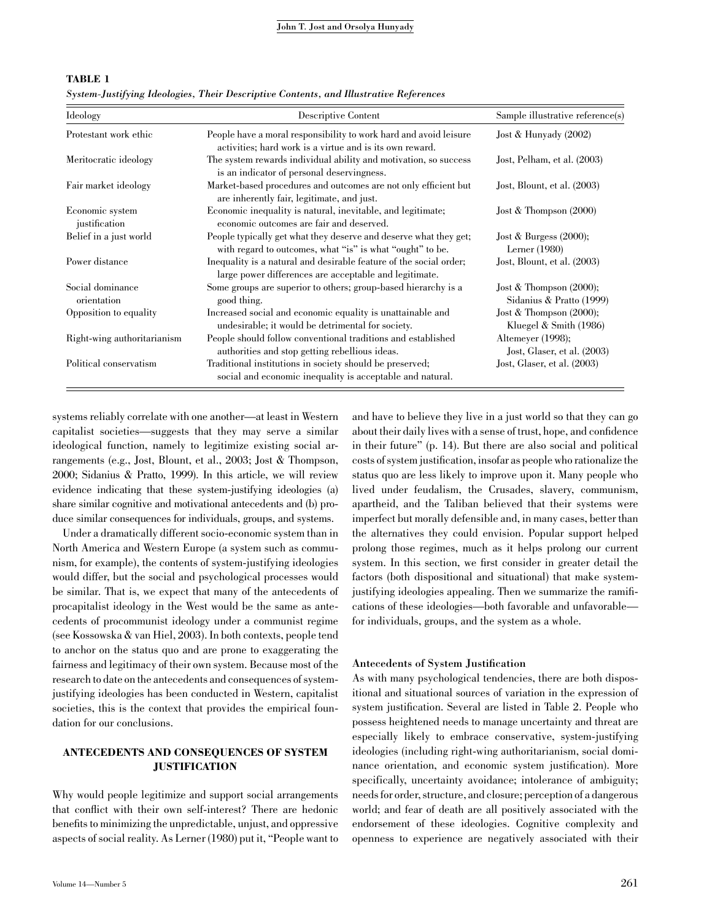TABLE 1

System-Justifying Ideologies, Their Descriptive Contents, and Illustrative References

| Ideology                         | Descriptive Content                                                                                                            | Sample illustrative reference(s)                       |
|----------------------------------|--------------------------------------------------------------------------------------------------------------------------------|--------------------------------------------------------|
| Protestant work ethic            | People have a moral responsibility to work hard and avoid leisure<br>activities; hard work is a virtue and is its own reward.  | Jost & Hunyady (2002)                                  |
| Meritocratic ideology            | The system rewards individual ability and motivation, so success<br>is an indicator of personal deservingness.                 | Jost, Pelham, et al. (2003)                            |
| Fair market ideology             | Market-based procedures and outcomes are not only efficient but<br>are inherently fair, legitimate, and just.                  | Jost, Blount, et al. (2003)                            |
| Economic system<br>justification | Economic inequality is natural, inevitable, and legitimate;<br>economic outcomes are fair and deserved.                        | Jost & Thompson $(2000)$                               |
| Belief in a just world           | People typically get what they deserve and deserve what they get;<br>with regard to outcomes, what "is" is what "ought" to be. | Jost & Burgess $(2000)$ ;<br>Lerner $(1980)$           |
| Power distance                   | Inequality is a natural and desirable feature of the social order;<br>large power differences are acceptable and legitimate.   | Jost, Blount, et al. (2003)                            |
| Social dominance<br>orientation  | Some groups are superior to others; group-based hierarchy is a<br>good thing.                                                  | Jost & Thompson $(2000)$ ;<br>Sidanius & Pratto (1999) |
| Opposition to equality           | Increased social and economic equality is unattainable and<br>undesirable; it would be detrimental for society.                | Jost & Thompson $(2000)$ ;<br>Kluegel $&$ Smith (1986) |
| Right-wing authoritarianism      | People should follow conventional traditions and established<br>authorities and stop getting rebellious ideas.                 | Altemeyer (1998);<br>Jost, Glaser, et al. (2003)       |
| Political conservatism           | Traditional institutions in society should be preserved;<br>social and economic inequality is acceptable and natural.          | Jost, Glaser, et al. (2003)                            |

systems reliably correlate with one another—at least in Western capitalist societies—suggests that they may serve a similar ideological function, namely to legitimize existing social arrangements (e.g., Jost, Blount, et al., 2003; Jost & Thompson, 2000; Sidanius & Pratto, 1999). In this article, we will review evidence indicating that these system-justifying ideologies (a) share similar cognitive and motivational antecedents and (b) produce similar consequences for individuals, groups, and systems.

Under a dramatically different socio-economic system than in North America and Western Europe (a system such as communism, for example), the contents of system-justifying ideologies would differ, but the social and psychological processes would be similar. That is, we expect that many of the antecedents of procapitalist ideology in the West would be the same as antecedents of procommunist ideology under a communist regime (see Kossowska & van Hiel, 2003). In both contexts, people tend to anchor on the status quo and are prone to exaggerating the fairness and legitimacy of their own system. Because most of the research to date on the antecedents and consequences of systemjustifying ideologies has been conducted in Western, capitalist societies, this is the context that provides the empirical foundation for our conclusions.

# ANTECEDENTS AND CONSEQUENCES OF SYSTEM **JUSTIFICATION**

Why would people legitimize and support social arrangements that conflict with their own self-interest? There are hedonic benefits to minimizing the unpredictable, unjust, and oppressive aspects of social reality. As Lerner (1980) put it, ''People want to and have to believe they live in a just world so that they can go about their daily lives with a sense of trust, hope, and confidence in their future'' (p. 14). But there are also social and political costs of system justification, insofar as people who rationalize the status quo are less likely to improve upon it. Many people who lived under feudalism, the Crusades, slavery, communism, apartheid, and the Taliban believed that their systems were imperfect but morally defensible and, in many cases, better than the alternatives they could envision. Popular support helped prolong those regimes, much as it helps prolong our current system. In this section, we first consider in greater detail the factors (both dispositional and situational) that make systemjustifying ideologies appealing. Then we summarize the ramifications of these ideologies—both favorable and unfavorable for individuals, groups, and the system as a whole.

# Antecedents of System Justification

As with many psychological tendencies, there are both dispositional and situational sources of variation in the expression of system justification. Several are listed in Table 2. People who possess heightened needs to manage uncertainty and threat are especially likely to embrace conservative, system-justifying ideologies (including right-wing authoritarianism, social dominance orientation, and economic system justification). More specifically, uncertainty avoidance; intolerance of ambiguity; needs for order, structure, and closure; perception of a dangerous world; and fear of death are all positively associated with the endorsement of these ideologies. Cognitive complexity and openness to experience are negatively associated with their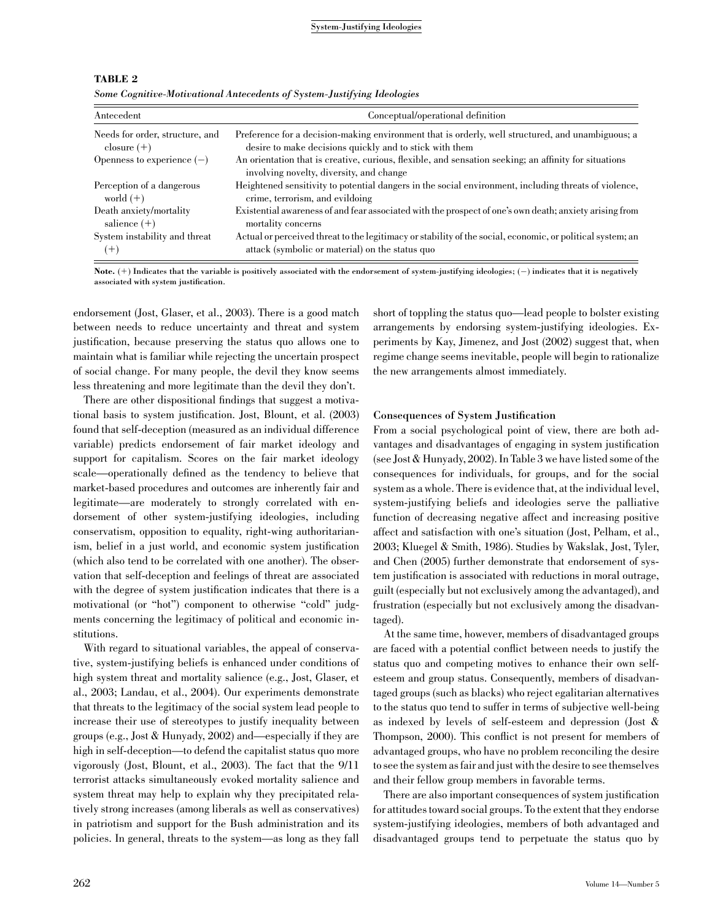TABLE 2

Some Cognitive-Motivational Antecedents of System-Justifying Ideologies

| Antecedent                      | Conceptual/operational definition                                                                                                                 |  |
|---------------------------------|---------------------------------------------------------------------------------------------------------------------------------------------------|--|
| Needs for order, structure, and | Preference for a decision-making environment that is orderly, well structured, and unambiguous; a                                                 |  |
| closure $(+)$                   | desire to make decisions quickly and to stick with them                                                                                           |  |
| Openness to experience $(-)$    | An orientation that is creative, curious, flexible, and sensation seeking; an affinity for situations<br>involving novelty, diversity, and change |  |
| Perception of a dangerous       | Heightened sensitivity to potential dangers in the social environment, including threats of violence,                                             |  |
| world $(+)$                     | crime, terrorism, and evildoing                                                                                                                   |  |
| Death anxiety/mortality         | Existential awareness of and fear associated with the prospect of one's own death; anxiety arising from                                           |  |
| salience $(+)$                  | mortality concerns                                                                                                                                |  |
| System instability and threat   | Actual or perceived threat to the legitimacy or stability of the social, economic, or political system; an                                        |  |
| $^{\circ}$                      | attack (symbolic or material) on the status quo                                                                                                   |  |

Note.  $(+)$  Indicates that the variable is positively associated with the endorsement of system-justifying ideologies;  $(-)$  indicates that it is negatively associated with system justification.

endorsement (Jost, Glaser, et al., 2003). There is a good match between needs to reduce uncertainty and threat and system justification, because preserving the status quo allows one to maintain what is familiar while rejecting the uncertain prospect of social change. For many people, the devil they know seems less threatening and more legitimate than the devil they don't.

There are other dispositional findings that suggest a motivational basis to system justification. Jost, Blount, et al. (2003) found that self-deception (measured as an individual difference variable) predicts endorsement of fair market ideology and support for capitalism. Scores on the fair market ideology scale—operationally defined as the tendency to believe that market-based procedures and outcomes are inherently fair and legitimate—are moderately to strongly correlated with endorsement of other system-justifying ideologies, including conservatism, opposition to equality, right-wing authoritarianism, belief in a just world, and economic system justification (which also tend to be correlated with one another). The observation that self-deception and feelings of threat are associated with the degree of system justification indicates that there is a motivational (or "hot") component to otherwise "cold" judgments concerning the legitimacy of political and economic institutions.

With regard to situational variables, the appeal of conservative, system-justifying beliefs is enhanced under conditions of high system threat and mortality salience (e.g., Jost, Glaser, et al., 2003; Landau, et al., 2004). Our experiments demonstrate that threats to the legitimacy of the social system lead people to increase their use of stereotypes to justify inequality between groups (e.g., Jost & Hunyady, 2002) and—especially if they are high in self-deception—to defend the capitalist status quo more vigorously (Jost, Blount, et al., 2003). The fact that the 9/11 terrorist attacks simultaneously evoked mortality salience and system threat may help to explain why they precipitated relatively strong increases (among liberals as well as conservatives) in patriotism and support for the Bush administration and its policies. In general, threats to the system—as long as they fall

short of toppling the status quo—lead people to bolster existing arrangements by endorsing system-justifying ideologies. Experiments by Kay, Jimenez, and Jost (2002) suggest that, when regime change seems inevitable, people will begin to rationalize the new arrangements almost immediately.

#### Consequences of System Justification

From a social psychological point of view, there are both advantages and disadvantages of engaging in system justification (see Jost & Hunyady, 2002). In Table 3 we have listed some of the consequences for individuals, for groups, and for the social system as a whole. There is evidence that, at the individual level, system-justifying beliefs and ideologies serve the palliative function of decreasing negative affect and increasing positive affect and satisfaction with one's situation (Jost, Pelham, et al., 2003; Kluegel & Smith, 1986). Studies by Wakslak, Jost, Tyler, and Chen (2005) further demonstrate that endorsement of system justification is associated with reductions in moral outrage, guilt (especially but not exclusively among the advantaged), and frustration (especially but not exclusively among the disadvantaged).

At the same time, however, members of disadvantaged groups are faced with a potential conflict between needs to justify the status quo and competing motives to enhance their own selfesteem and group status. Consequently, members of disadvantaged groups (such as blacks) who reject egalitarian alternatives to the status quo tend to suffer in terms of subjective well-being as indexed by levels of self-esteem and depression (Jost & Thompson, 2000). This conflict is not present for members of advantaged groups, who have no problem reconciling the desire to see the system as fair and just with the desire to see themselves and their fellow group members in favorable terms.

There are also important consequences of system justification for attitudes toward social groups. To the extent that they endorse system-justifying ideologies, members of both advantaged and disadvantaged groups tend to perpetuate the status quo by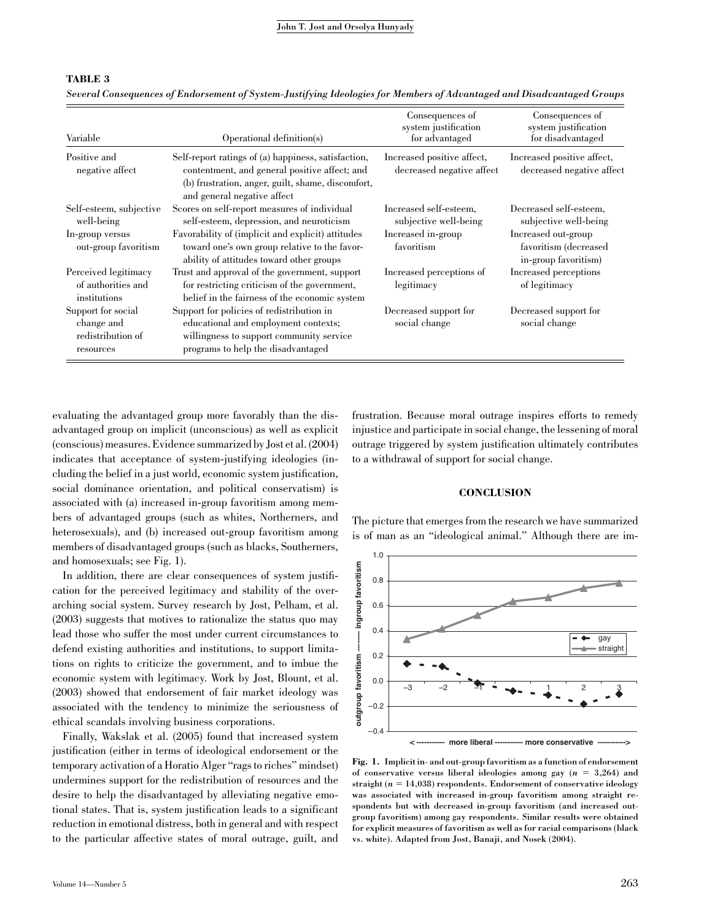TABLE 3

| Variable                                                           | Operational definition(s)                                                                                                                                                                | Consequences of<br>system justification<br>for advantaged | Consequences of<br>system justification<br>for disadvantaged         |
|--------------------------------------------------------------------|------------------------------------------------------------------------------------------------------------------------------------------------------------------------------------------|-----------------------------------------------------------|----------------------------------------------------------------------|
| Positive and<br>negative affect                                    | Self-report ratings of (a) happiness, satisfaction,<br>contentment, and general positive affect; and<br>(b) frustration, anger, guilt, shame, discomfort,<br>and general negative affect | Increased positive affect,<br>decreased negative affect   | Increased positive affect,<br>decreased negative affect              |
| Self-esteem, subjective<br>well-being                              | Scores on self-report measures of individual<br>self-esteem, depression, and neuroticism                                                                                                 | Increased self-esteem.<br>subjective well-being           | Decreased self-esteem.<br>subjective well-being                      |
| In-group versus<br>out-group favoritism                            | Favorability of (implicit and explicit) attitudes<br>toward one's own group relative to the favor-<br>ability of attitudes toward other groups                                           | Increased in-group<br>favoritism                          | Increased out-group<br>favoritism (decreased<br>in-group favoritism) |
| Perceived legitimacy<br>of authorities and<br>institutions         | Trust and approval of the government, support<br>for restricting criticism of the government,<br>belief in the fairness of the economic system                                           | Increased perceptions of<br>legitimacy                    | Increased perceptions<br>of legitimacy                               |
| Support for social<br>change and<br>redistribution of<br>resources | Support for policies of redistribution in<br>educational and employment contexts;<br>willingness to support community service<br>programs to help the disadvantaged                      | Decreased support for<br>social change                    | Decreased support for<br>social change                               |

Several Consequences of Endorsement of System-Justifying Ideologies for Members of Advantaged and Disadvantaged Groups

evaluating the advantaged group more favorably than the disadvantaged group on implicit (unconscious) as well as explicit (conscious) measures. Evidence summarized by Jost et al. (2004) indicates that acceptance of system-justifying ideologies (including the belief in a just world, economic system justification, social dominance orientation, and political conservatism) is associated with (a) increased in-group favoritism among members of advantaged groups (such as whites, Northerners, and heterosexuals), and (b) increased out-group favoritism among members of disadvantaged groups (such as blacks, Southerners, and homosexuals; see Fig. 1).

In addition, there are clear consequences of system justification for the perceived legitimacy and stability of the overarching social system. Survey research by Jost, Pelham, et al. (2003) suggests that motives to rationalize the status quo may lead those who suffer the most under current circumstances to defend existing authorities and institutions, to support limitations on rights to criticize the government, and to imbue the economic system with legitimacy. Work by Jost, Blount, et al. (2003) showed that endorsement of fair market ideology was associated with the tendency to minimize the seriousness of ethical scandals involving business corporations.

Finally, Wakslak et al. (2005) found that increased system justification (either in terms of ideological endorsement or the temporary activation of a Horatio Alger ''rags to riches'' mindset) undermines support for the redistribution of resources and the desire to help the disadvantaged by alleviating negative emotional states. That is, system justification leads to a significant reduction in emotional distress, both in general and with respect to the particular affective states of moral outrage, guilt, and frustration. Because moral outrage inspires efforts to remedy injustice and participate in social change, the lessening of moral outrage triggered by system justification ultimately contributes to a withdrawal of support for social change.

### **CONCLUSION**

The picture that emerges from the research we have summarized is of man as an ''ideological animal.'' Although there are im-



Fig. 1. Implicit in- and out-group favoritism as a function of endorsement of conservative versus liberal ideologies among gay  $(n = 3,264)$  and straight ( $n = 14,038$ ) respondents. Endorsement of conservative ideology was associated with increased in-group favoritism among straight respondents but with decreased in-group favoritism (and increased outgroup favoritism) among gay respondents. Similar results were obtained for explicit measures of favoritism as well as for racial comparisons (black vs. white). Adapted from Jost, Banaji, and Nosek (2004).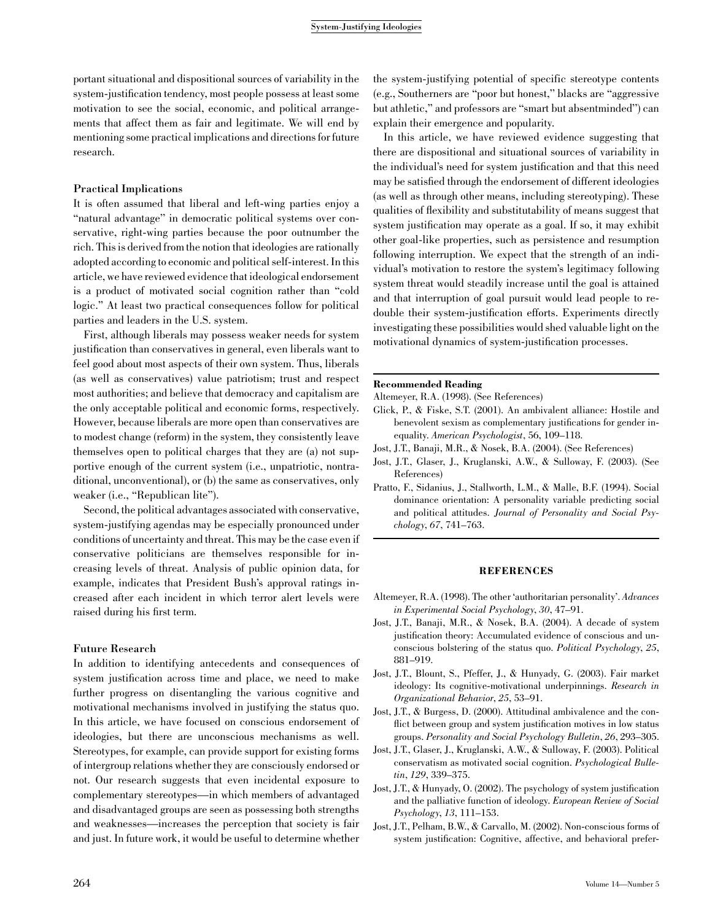portant situational and dispositional sources of variability in the system-justification tendency, most people possess at least some motivation to see the social, economic, and political arrangements that affect them as fair and legitimate. We will end by mentioning some practical implications and directions for future research.

#### Practical Implications

It is often assumed that liberal and left-wing parties enjoy a "natural advantage" in democratic political systems over conservative, right-wing parties because the poor outnumber the rich. This is derived from the notion that ideologies are rationally adopted according to economic and political self-interest. In this article, we have reviewed evidence that ideological endorsement is a product of motivated social cognition rather than ''cold logic.'' At least two practical consequences follow for political parties and leaders in the U.S. system.

First, although liberals may possess weaker needs for system justification than conservatives in general, even liberals want to feel good about most aspects of their own system. Thus, liberals (as well as conservatives) value patriotism; trust and respect most authorities; and believe that democracy and capitalism are the only acceptable political and economic forms, respectively. However, because liberals are more open than conservatives are to modest change (reform) in the system, they consistently leave themselves open to political charges that they are (a) not supportive enough of the current system (i.e., unpatriotic, nontraditional, unconventional), or (b) the same as conservatives, only weaker (i.e., "Republican lite").

Second, the political advantages associated with conservative, system-justifying agendas may be especially pronounced under conditions of uncertainty and threat. This may be the case even if conservative politicians are themselves responsible for increasing levels of threat. Analysis of public opinion data, for example, indicates that President Bush's approval ratings increased after each incident in which terror alert levels were raised during his first term.

#### Future Research

In addition to identifying antecedents and consequences of system justification across time and place, we need to make further progress on disentangling the various cognitive and motivational mechanisms involved in justifying the status quo. In this article, we have focused on conscious endorsement of ideologies, but there are unconscious mechanisms as well. Stereotypes, for example, can provide support for existing forms of intergroup relations whether they are consciously endorsed or not. Our research suggests that even incidental exposure to complementary stereotypes—in which members of advantaged and disadvantaged groups are seen as possessing both strengths and weaknesses—increases the perception that society is fair and just. In future work, it would be useful to determine whether

the system-justifying potential of specific stereotype contents (e.g., Southerners are ''poor but honest,'' blacks are ''aggressive but athletic,'' and professors are ''smart but absentminded'') can explain their emergence and popularity.

In this article, we have reviewed evidence suggesting that there are dispositional and situational sources of variability in the individual's need for system justification and that this need may be satisfied through the endorsement of different ideologies (as well as through other means, including stereotyping). These qualities of flexibility and substitutability of means suggest that system justification may operate as a goal. If so, it may exhibit other goal-like properties, such as persistence and resumption following interruption. We expect that the strength of an individual's motivation to restore the system's legitimacy following system threat would steadily increase until the goal is attained and that interruption of goal pursuit would lead people to redouble their system-justification efforts. Experiments directly investigating these possibilities would shed valuable light on the motivational dynamics of system-justification processes.

## Recommended Reading

Altemeyer, R.A. (1998). (See References)

- Glick, P., & Fiske, S.T. (2001). An ambivalent alliance: Hostile and benevolent sexism as complementary justifications for gender inequality. American Psychologist, 56, 109–118.
- Jost, J.T., Banaji, M.R., & Nosek, B.A. (2004). (See References)
- Jost, J.T., Glaser, J., Kruglanski, A.W., & Sulloway, F. (2003). (See References)
- Pratto, F., Sidanius, J., Stallworth, L.M., & Malle, B.F. (1994). Social dominance orientation: A personality variable predicting social and political attitudes. Journal of Personality and Social Psychology, 67, 741–763.

#### REFERENCES

- Altemeyer, R.A. (1998). The other 'authoritarian personality'. Advances in Experimental Social Psychology, 30, 47–91.
- Jost, J.T., Banaji, M.R., & Nosek, B.A. (2004). A decade of system justification theory: Accumulated evidence of conscious and unconscious bolstering of the status quo. Political Psychology, 25, 881–919.
- Jost, J.T., Blount, S., Pfeffer, J., & Hunyady, G. (2003). Fair market ideology: Its cognitive-motivational underpinnings. Research in Organizational Behavior, 25, 53–91.
- Jost, J.T., & Burgess, D. (2000). Attitudinal ambivalence and the conflict between group and system justification motives in low status groups. Personality and Social Psychology Bulletin, 26, 293–305.
- Jost, J.T., Glaser, J., Kruglanski, A.W., & Sulloway, F. (2003). Political conservatism as motivated social cognition. Psychological Bulletin, 129, 339–375.
- Jost, J.T., & Hunyady, O. (2002). The psychology of system justification and the palliative function of ideology. European Review of Social Psychology, 13, 111–153.
- Jost, J.T., Pelham, B.W., & Carvallo, M. (2002). Non-conscious forms of system justification: Cognitive, affective, and behavioral prefer-